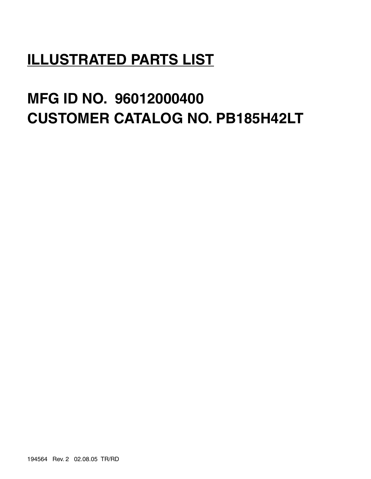# **ILLUSTRATED PARTS LIST**

# **MFG ID NO. 96012000400 CUSTOMER CATALOG NO. PB185H42LT**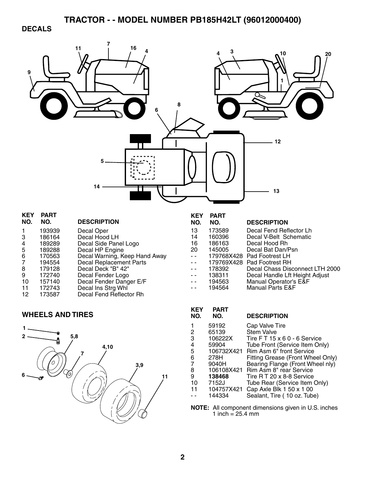### **DECALS**

| 9                                                             |                                                                                                                   | 16<br>11<br>8                                                                                                                                                                                                                                                                           |                                                                   | 3                                                                                                               | 10<br>20                                                                                                                                                                                                                                                                                           |
|---------------------------------------------------------------|-------------------------------------------------------------------------------------------------------------------|-----------------------------------------------------------------------------------------------------------------------------------------------------------------------------------------------------------------------------------------------------------------------------------------|-------------------------------------------------------------------|-----------------------------------------------------------------------------------------------------------------|----------------------------------------------------------------------------------------------------------------------------------------------------------------------------------------------------------------------------------------------------------------------------------------------------|
|                                                               |                                                                                                                   | 14                                                                                                                                                                                                                                                                                      |                                                                   |                                                                                                                 | 12<br>13                                                                                                                                                                                                                                                                                           |
| <b>KEY</b>                                                    | <b>PART</b>                                                                                                       |                                                                                                                                                                                                                                                                                         | <b>KEY</b>                                                        | <b>PART</b>                                                                                                     |                                                                                                                                                                                                                                                                                                    |
| NO.<br>1<br>3<br>4<br>5<br>6<br>7<br>8<br>9<br>10<br>11<br>12 | NO.<br>193939<br>186164<br>189289<br>189288<br>170563<br>194554<br>179128<br>172740<br>157140<br>172743<br>173587 | <b>DESCRIPTION</b><br>Decal Oper<br>Decal Hood LH<br>Decal Side Panel Logo<br>Decal HP Engine<br>Decal Warning, Keep Hand Away<br><b>Decal Replacement Parts</b><br>Decal Deck "B" 42"<br>Decal Fender Logo<br>Decal Fender Danger E/F<br>Decal Ins Strg Whl<br>Decal Fend Reflector Rh | NO.<br>13<br>14<br>16<br>20<br>- -                                | NO.<br>173589<br>160396<br>186163<br>145005<br>179768X428<br>179769X428<br>178392<br>138311<br>194563<br>194564 | <b>DESCRIPTION</b><br>Decal Fend Reflector Lh<br>Decal V-Belt Schematic<br>Decal Hood Rh<br>Decal Bat Dan/Psn<br>Pad Footrest LH<br>Pad Footrest RH<br>Decal Chass Disconnect LTH 2000<br>Decal Handle Lft Height Adjust<br>Manual Operator's E&F<br><b>Manual Parts E&amp;F</b>                   |
|                                                               | <b>WHEELS AND TIRES</b>                                                                                           |                                                                                                                                                                                                                                                                                         | <b>KEY</b><br>NO.                                                 | <b>PART</b><br>NO.                                                                                              | <b>DESCRIPTION</b>                                                                                                                                                                                                                                                                                 |
| 1                                                             | 0                                                                                                                 | 5,8<br>4,10<br>7<br>3,9<br>11                                                                                                                                                                                                                                                           | 1<br>$\overline{c}$<br>3<br>4<br>5<br>6<br>7<br>$\bf8$<br>9<br>10 | 59192<br>65139<br>106222X<br>59904<br>106732X421<br>278H<br>9040H<br>106108X421<br>138468<br>7152J              | Cap Valve Tire<br><b>Stem Valve</b><br>Tire FT 15 x 6 0 - 6 Service<br>Tube Front (Service Item Only)<br>Rim Asm 6" front Service<br>Fitting Grease (Front Wheel Only)<br>Bearing Flange (Front Wheel nly)<br>Rim Asm 8" rear Service<br>Tire RT 20 x 8-8 Service<br>Tube Rear (Service Item Only) |

- - 144334 Sealant, Tire ( 10 oz. Tube)

10 7152J Tube Rear (Service Item Only) 11 104757X421 Cap Axle Blk 1 50 x 1 00

**NOTE:** All component dimensions given in U.S. inches 1 inch =  $25.4 \text{ mm}$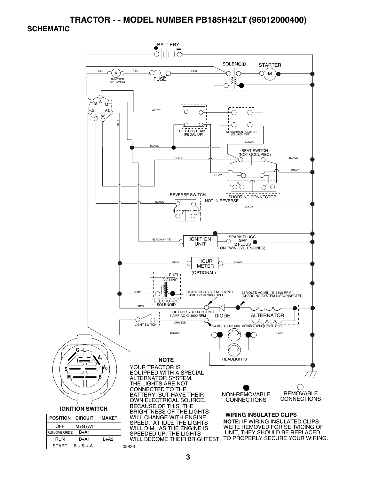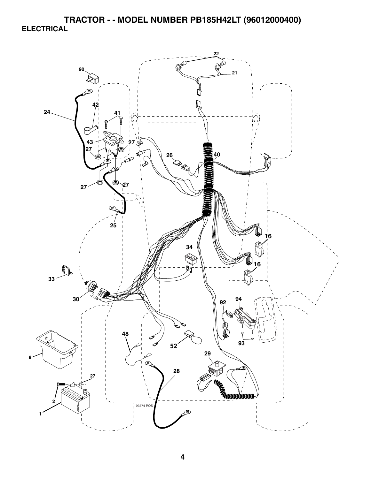**TRACTOR - - MODEL NUMBER PB185H42LT (96012000400) ELECTRICAL** 

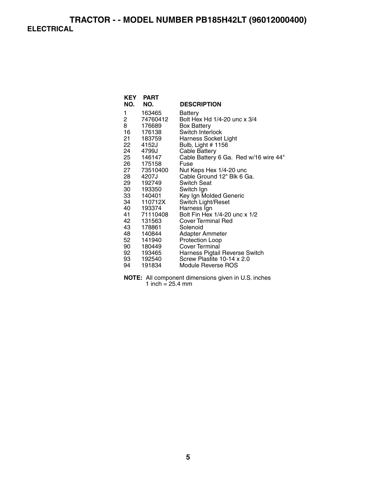## **TRACTOR - - MODEL NUMBER PB185H42LT (96012000400) ELECTRICAL**

| <b>KEY</b> | <b>PART</b> |                                       |
|------------|-------------|---------------------------------------|
| NO.        | NO.         | <b>DESCRIPTION</b>                    |
| 1          | 163465      | Battery                               |
| 2          | 74760412    | Bolt Hex Hd 1/4-20 unc x 3/4          |
| 8          | 176689      | <b>Box Battery</b>                    |
| 16         | 176138      | Switch Interlock                      |
|            | 21 183759   | <b>Harness Socket Light</b>           |
|            | 22 4152J    | Bulb, Light # 1156                    |
|            | 24 4799J    | <b>Cable Battery</b>                  |
|            | 25 146147   | Cable Battery 6 Ga. Red w/16 wire 44" |
|            | 26 175158   | Fuse                                  |
|            | 27 73510400 | Nut Keps Hex 1/4-20 unc               |
|            | 28 4207J    | Cable Ground 12" Blk 6 Ga.            |
|            | 29 192749   | <b>Switch Seat</b>                    |
|            | 30 193350   | Switch Ign                            |
|            | 33 140401   | Key Ign Molded Generic                |
|            | 34 110712X  | Switch Light/Reset                    |
|            | 40 193374   | Harness Ign                           |
|            | 41 71110408 | Bolt Fin Hex 1/4-20 unc x 1/2         |
| 42         | 131563      | <b>Cover Terminal Red</b>             |
| 43 —       | 178861      | Solenoid                              |
|            | 48 140844   | Adapter Ammeter                       |
| 52         | 141940      | Protection Loop                       |
|            | 90 180449   | Cover Terminal                        |
|            | 92 193465   | Harness Pigtail Reverse Switch        |
| 93 —       | 192540      | Screw Plastite 10-14 x 2.0            |
| 94         | 191834      | Module Reverse ROS                    |

**NOTE:** All component dimensions given in U.S. inches 1 inch  $= 25.4$  mm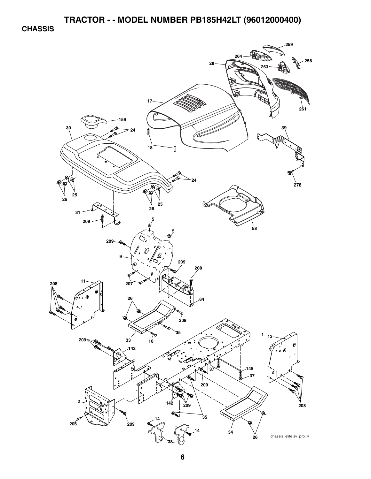**CHASSIS** 

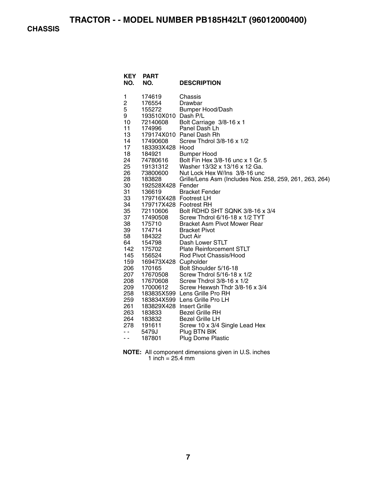**CHASSIS** 

| <b>KEY</b><br>NO. | <b>PART</b><br>NO.               | <b>DESCRIPTION</b>                                      |
|-------------------|----------------------------------|---------------------------------------------------------|
| 1                 | 174619                           | Chassis                                                 |
| 2                 | 176554                           | Drawbar                                                 |
| 5                 | 155272                           | <b>Bumper Hood/Dash</b>                                 |
| 9                 | 193510X010 Dash P/L              |                                                         |
| 10                | 72140608                         | Bolt Carriage 3/8-16 x 1                                |
| 11                | 174996                           | Panel Dash Lh                                           |
| 13                |                                  | 179174X010 Panel Dash Rh                                |
| 14                | 17490608                         | Screw Thdrol 3/8-16 x 1/2                               |
| 17                | 183393X428 Hood                  |                                                         |
| 18                | 184921                           | <b>Bumper Hood</b>                                      |
| 24                | 74780616<br><sup>1</sup> 9131312 | Bolt Fin Hex 3/8-16 unc x 1 Gr. 5                       |
| 25                | 19131312                         | Washer 13/32 x 13/16 x 12 Ga.                           |
| 26                | 73800600                         | Nut Lock Hex W/Ins 3/8-16 unc                           |
| 28                | 183828                           | Grille/Lens Asm (Includes Nos. 258, 259, 261, 263, 264) |
| 30                | 192528X428 Fender                |                                                         |
| 31                | 136619                           | <b>Bracket Fender</b>                                   |
| 33                | 179716X428 Footrest LH           |                                                         |
| 34                | 179717X428 Footrest RH           |                                                         |
| 35                | 72110606                         | Bolt RDHD SHT SQNK 3/8-16 x 3/4                         |
| 37                | 17490508                         | Screw Thdrol 6/16-18 x 1/2 TYT                          |
| 38                | 175710                           | <b>Bracket Asm Pivot Mower Rear</b>                     |
| 39                | 174714                           | <b>Bracket Pivot</b>                                    |
| 58<br>64          | 184322<br>154798                 | Duct Air<br>Dash Lower STLT                             |
| 142               | 175702                           | <b>Plate Reinforcement STLT</b>                         |
| 145               | 156524                           | Rod Pivot Chassis/Hood                                  |
| 159               | 169473X428 Cupholder             |                                                         |
| 206               | 170165                           | Bolt Shoulder 5/16-18                                   |
| 207               | 17670508                         | Screw Thdrol 5/16-18 x 1/2                              |
| 208               | 17670608                         | Screw Thdrol 3/8-16 x 1/2                               |
| 209               | 17000612                         | Screw Hexwsh Thdr 3/8-16 x 3/4                          |
| 258               |                                  | 183835X599 Lens Grille Pro RH                           |
| 259               |                                  | 183834X599 Lens Grille Pro LH                           |
| 261               | 183829X428 Insert Grille         |                                                         |
| 263               | 183833                           | <b>Bezel Grille RH</b>                                  |
| 264               | 183832                           | <b>Bezel Grille LH</b>                                  |
| 278               | 191611                           | Screw 10 x 3/4 Single Lead Hex                          |
| - -               | 5479J                            | Plug BTN BIK                                            |
| - -               | 187801                           | <b>Plug Dome Plastic</b>                                |
|                   |                                  |                                                         |

**NOTE:** All component dimensions given in U.S. inches 1 inch = 25.4 mm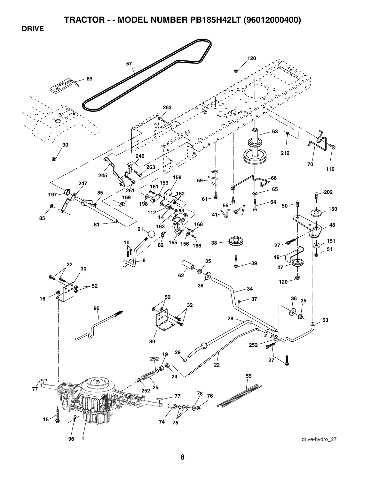**DRIVE** 

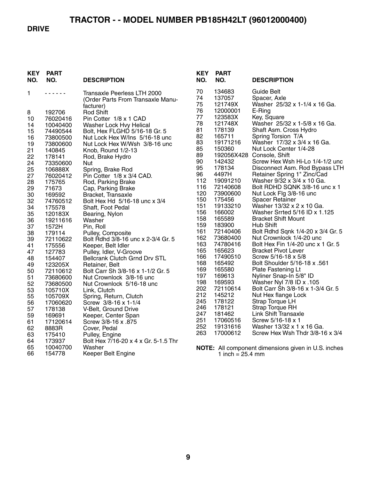#### **DRIVE**

| <b>KEY</b><br>NO. | <b>PART</b><br>NO.  | <b>DESCRIPTION</b>                                                            |
|-------------------|---------------------|-------------------------------------------------------------------------------|
| 1                 |                     | Transaxle Peerless LTH 2000<br>(Order Parts From Transaxle Manu-<br>facturer) |
| 8                 | 192706              | <b>Rod Shift</b>                                                              |
| 10                | 76020416            | Pin Cotter 1/8 x 1 CAD                                                        |
| 14                | 10040400            | Washer Lock Hvy Helical                                                       |
| 15                | 74490544            | Bolt, Hex FLGHD 5/16-18 Gr. 5                                                 |
| 16                | 73800500            | Nut Lock Hex W/Ins 5/16-18 unc                                                |
| 19                | 73800600            | Nut Lock Hex W/Wsh 3/8-16 unc                                                 |
| 21                | 140845              | Knob, Round 1/2-13                                                            |
| 22                | 178141              | Rod, Brake Hydro                                                              |
| 24                | 73350600            | Nut                                                                           |
| 25                | 106888X             | Spring, Brake Rod                                                             |
| 27                | 76020412            | Pin Cotter 1/8 x 3/4 CAD.                                                     |
| 28                | 175765              | Rod, Parking Brake                                                            |
| 29                | 71673               | Cap, Parking Brake                                                            |
| 30                | 169592              | Bracket, Transaxle<br>Bolt Hex Hd 5/16-18 unc x 3/4                           |
| 32<br>34          | 74760512<br>175578  | Shaft, Foot Pedal                                                             |
| 35                | 120183X             | Bearing, Nylon                                                                |
| 36                | 19211616            | Washer                                                                        |
| 37                | 1572H               | Pin, Roll                                                                     |
| 38                | 179114              | Pulley, Composite                                                             |
| 39                | 72110622            | Bolt Rdhd 3/8-16 unc x 2-3/4 Gr. 5                                            |
| 41                | 175556              | Keeper, Belt Idler                                                            |
| 47                | 127783              | Pulley, Idler, V-Groove                                                       |
| 48                | 154407              | <b>Bellcrank Clutch Grnd Drv STL</b>                                          |
| 49                | 123205X             | Retainer, Belt                                                                |
| 50                | 72110612            | Bolt Carr Sh 3/8-16 x 1-1/2 Gr. 5                                             |
| 51                | 73680600            | Nut Crownlock 3/8-16 unc                                                      |
| 52<br>53          | 73680500<br>105710X | Nut Crownlock 5/16-18 unc<br>Link, Clutch                                     |
| 55                | 105709X             | Spring, Return, Clutch                                                        |
| 56                | 17060620            | Screw 3/8-16 x 1-1/4                                                          |
| 57                | 178138              | V-Belt, Ground Drive                                                          |
| 59                | 169691              | Keeper, Center Span                                                           |
| 61                | 17120614            | Screw 3/8-16 x .875                                                           |
| 62                | 8883R               | Cover, Pedal                                                                  |
| 63                | 175410              | Pulley, Engine                                                                |
| 64                | 173937              | Bolt Hex 7/16-20 x 4 x Gr. 5-1.5 Thr                                          |
| 65                | 10040700            | Washer                                                                        |
| 66                | 154778              | Keeper Belt Engine                                                            |

| KEY<br>NO. | PART<br>NO. | <b>DESCRIPTION</b>                  |
|------------|-------------|-------------------------------------|
| 70         | 134683      | <b>Guide Belt</b>                   |
| 74         | 137057      | Spacer, Axle                        |
| 75         | 121749X     | Washer 25/32 x 1-1/4 x 16 Ga.       |
| 76         | 12000001    | E-Ring                              |
| 77         | 123583X     | Key, Square                         |
| 78         | 121748X     | Washer 25/32 x 1-5/8 x 16 Ga.       |
| 81         | 178139      | Shaft Asm. Cross Hydro              |
| 82         | 165711      | Spring Torsion T/A                  |
| 83         | 19171216    | Washer 17/32 x 3/4 x 16 Ga.         |
| 85         | 150360      | Nut Lock Center 1/4-28              |
| 89         | 192056X428  | Console, Shift                      |
| 90         | 142432      | Screw Hex Wsh Hi-Lo 1/4-1/2 unc     |
| 95         | 178134      | Disconnect Asm. Rod Bypass LTH      |
| 96         | 4497H       | Retainer Spring 1" Zinc/Cad         |
| 112        | 19091210    | Washer 9/32 x 3/4 x 10 Ga.          |
| 116        | 72140608    | Bolt RDHD SQNK 3/8-16 unc x 1       |
| 120        | 73900600    | Nut Lock Flg 3/8-16 unc             |
| 150        | 175456      | <b>Spacer Retainer</b>              |
| 151        | 19133210    | Washer 13/32 x 2 x 10 Ga.           |
| 156        | 166002      | Washer Srrted 5/16 ID x 1.125       |
| 158        | 165589      | <b>Bracket Shift Mount</b>          |
| 159        | 183900      | Hub Shift                           |
| 161        | 72140406    | Bolt Rdhd Sqnk 1/4-20 x 3/4 Gr. 5   |
| 162        | 73680400    | Nut Crownlock 1/4-20 unc            |
| 163        | 74780416    | Bolt Hex Fin 1/4-20 unc x 1 Gr. 5   |
| 165        | 165623      | <b>Bracket Pivot Lever</b>          |
| 166        | 17490510    | Screw 5/16-18 x 5/8                 |
| 168        | 165492      | <b>Bolt Shoulder 5/16-18 x .561</b> |
| 169        | 165580      | <b>Plate Fastening Lt</b>           |
| 197        | 169613      | Nyliner Snap-In 5/8" ID             |
| 198        | 169593      | 105. Washer Nyl 7/8 ID x            |
| 202        | 72110614    | Bolt Carr Sh 3/8-16 x 1-3/4 Gr. 5   |
| 212        | 145212      | Nut Hex flange Lock                 |
| 245        | 178122      | Strap Torque LH                     |
| 246        | 178121      | <b>Strap Torque RH</b>              |
| 247        | 181462      | <b>Link Shift Transaxle</b>         |
| 251        | 17060516    | Screw 5/16-18 x 1                   |
| 252        | 19131616    | Washer 13/32 x 1 x 16 Ga.           |
| 263        | 17000612    | Screw Hex Wsh Thdr 3/8-16 x 3/4     |

**NOTE:** All component dimensions given in U.S. inches 1 inch = 25.4 mm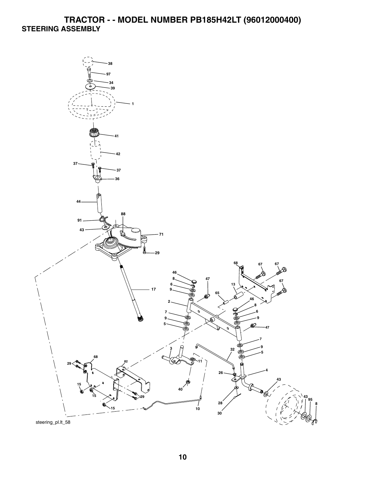# **TRACTOR - - MODEL NUMBER PB185H42LT (96012000400) STEERING ASSEMBLY**

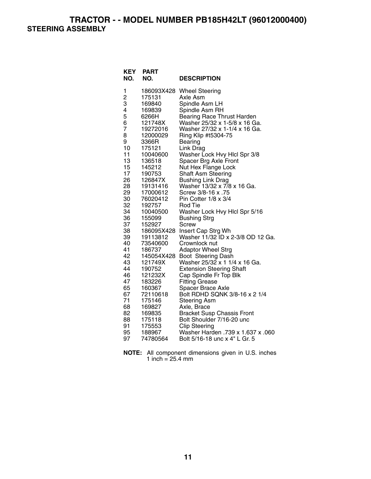**TRACTOR - - MODEL NUMBER PB185H42LT (96012000400) STEERING ASSEMBLY** 

| 1<br>186093X428<br><b>Wheel Steering</b><br>2<br>З<br>175131<br>Axle Asm<br>Spindle Asm LH<br>169840<br>4<br>Spindle Asm RH<br>169839<br>5<br>6266H<br><b>Bearing Race Thrust Harden</b><br>6<br>Washer 25/32 x 1-5/8 x 16 Ga.<br>121748X<br>$\overline{7}$<br>Washer 27/32 x 1-1/4 x 16 Ga.<br>19272016<br>8<br>12000029<br>Ring Klip #t5304-75<br>9<br>3366R<br>Bearing<br>10<br>175121<br>Link Drag<br>11<br>Washer Lock Hvy Hlcl Spr 3/8<br>10040600 |
|----------------------------------------------------------------------------------------------------------------------------------------------------------------------------------------------------------------------------------------------------------------------------------------------------------------------------------------------------------------------------------------------------------------------------------------------------------|
|                                                                                                                                                                                                                                                                                                                                                                                                                                                          |
|                                                                                                                                                                                                                                                                                                                                                                                                                                                          |
|                                                                                                                                                                                                                                                                                                                                                                                                                                                          |
|                                                                                                                                                                                                                                                                                                                                                                                                                                                          |
|                                                                                                                                                                                                                                                                                                                                                                                                                                                          |
|                                                                                                                                                                                                                                                                                                                                                                                                                                                          |
|                                                                                                                                                                                                                                                                                                                                                                                                                                                          |
|                                                                                                                                                                                                                                                                                                                                                                                                                                                          |
|                                                                                                                                                                                                                                                                                                                                                                                                                                                          |
|                                                                                                                                                                                                                                                                                                                                                                                                                                                          |
|                                                                                                                                                                                                                                                                                                                                                                                                                                                          |
| 13<br>Spacer Brg Axle Front<br>136518                                                                                                                                                                                                                                                                                                                                                                                                                    |
| 15<br>Nut Hex Flange Lock<br>145212<br>17                                                                                                                                                                                                                                                                                                                                                                                                                |
| Shaft Asm Steering<br>190753<br>26<br>126847X                                                                                                                                                                                                                                                                                                                                                                                                            |
| <b>Bushing Link Drag</b><br>28<br>Washer 13/32 x 7/8 x 16 Ga.<br>19131416                                                                                                                                                                                                                                                                                                                                                                                |
| 29<br>Screw 3/8-16 x .75<br>17000612                                                                                                                                                                                                                                                                                                                                                                                                                     |
| 30<br>76020412<br>Pin Cotter 1/8 x 3/4                                                                                                                                                                                                                                                                                                                                                                                                                   |
| 32<br>192757<br>Rod Tie                                                                                                                                                                                                                                                                                                                                                                                                                                  |
| 34<br>Washer Lock Hvy Hlcl Spr 5/16<br>10040500                                                                                                                                                                                                                                                                                                                                                                                                          |
| 36<br>155099<br><b>Bushing Strg</b>                                                                                                                                                                                                                                                                                                                                                                                                                      |
| 37<br>152927<br>Screw                                                                                                                                                                                                                                                                                                                                                                                                                                    |
| 38<br>Insert Cap Strg Wh<br>186095X428                                                                                                                                                                                                                                                                                                                                                                                                                   |
| Washer 11/32 ID x 2-3/8 OD 12 Ga.<br>39<br>19113812                                                                                                                                                                                                                                                                                                                                                                                                      |
| 40<br>73540600<br>Crownlock nut                                                                                                                                                                                                                                                                                                                                                                                                                          |
| 41<br><b>Adaptor Wheel Strg</b><br>186737                                                                                                                                                                                                                                                                                                                                                                                                                |
| 42<br>145054X428<br>Boot Steering Dash                                                                                                                                                                                                                                                                                                                                                                                                                   |
| 43<br>Washer 25/32 x 1 1/4 x 16 Ga.<br>121749X                                                                                                                                                                                                                                                                                                                                                                                                           |
| 44<br>190752<br><b>Extension Steering Shaft</b>                                                                                                                                                                                                                                                                                                                                                                                                          |
| 46<br>121232X<br>Cap Spindle Fr Top Blk                                                                                                                                                                                                                                                                                                                                                                                                                  |
| 47<br>183226<br><b>Fitting Grease</b>                                                                                                                                                                                                                                                                                                                                                                                                                    |
| 65<br>160367<br>Spacer Brace Axle                                                                                                                                                                                                                                                                                                                                                                                                                        |
| 67<br>Bolt RDHD SQNK 3/8-16 x 2 1/4<br>72110618                                                                                                                                                                                                                                                                                                                                                                                                          |
| 71<br>175146<br><b>Steering Asm</b>                                                                                                                                                                                                                                                                                                                                                                                                                      |
| 68<br>169827<br>Axle, Brace                                                                                                                                                                                                                                                                                                                                                                                                                              |
| 82<br>169835<br><b>Bracket Susp Chassis Front</b><br>88<br>175118<br>Bolt Shoulder 7/16-20 unc                                                                                                                                                                                                                                                                                                                                                           |
| 91<br>175553<br><b>Clip Steering</b>                                                                                                                                                                                                                                                                                                                                                                                                                     |
| 95<br>Washer Harden .739 x 1.637 x .060<br>188967                                                                                                                                                                                                                                                                                                                                                                                                        |
| Bolt 5/16-18 unc x 4" L Gr. 5<br>97<br>74780564                                                                                                                                                                                                                                                                                                                                                                                                          |

| <b>NOTE:</b> All component dimensions given in U.S. inches |  |  |
|------------------------------------------------------------|--|--|
| 1 inch = $25.4 \text{ mm}$                                 |  |  |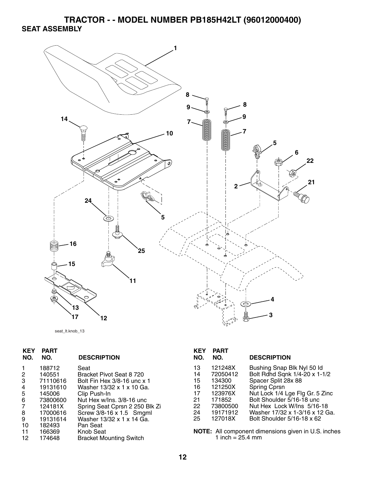**TRACTOR - - MODEL NUMBER PB185H42LT (96012000400) SEAT ASSEMBLY** 



```
seat_lt.knob_13
```

| 13 | 121248X  | Bushing Snap Blk Nyl 50 ld                          |
|----|----------|-----------------------------------------------------|
| 14 | 72050412 | Bolt Rdhd Sqnk 1/4-20 x 1-1/2                       |
| 15 | 134300   | Spacer Split 28x 88                                 |
| 16 | 121250X  | <b>Spring Cprsn</b>                                 |
| 17 | 123976X  | Nut Lock 1/4 Lge Flg Gr. 5 Zinc                     |
| 21 | 171852   | Bolt Shoulder 5/16-18 unc                           |
| 22 | 73800500 | Nut Hex Lock W/Ins 5/16-18                          |
| 24 | 19171912 | Washer 17/32 x 1-3/16 x 12 Ga.                      |
| 25 | 127018X  | Bolt Shoulder 5/16-18 x 62                          |
|    |          |                                                     |
|    |          | NOTE: All component dimensions given in U.S. inches |
|    |          |                                                     |
|    |          | 1 inch = $25.4$ mm                                  |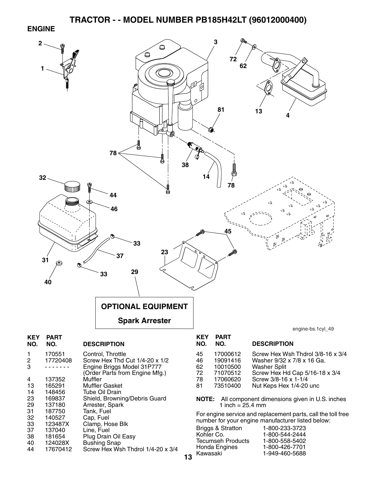#### **ENGINE**

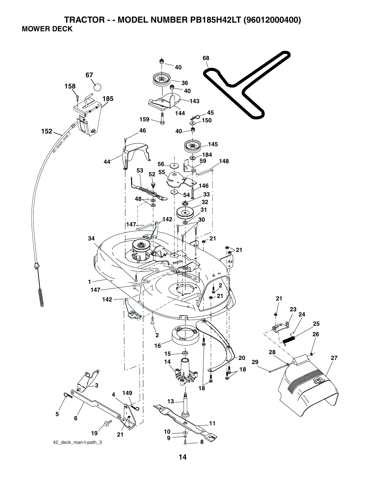**TRACTOR - - MODEL NUMBER PB185H42LT (96012000400) MOWER DECK** 

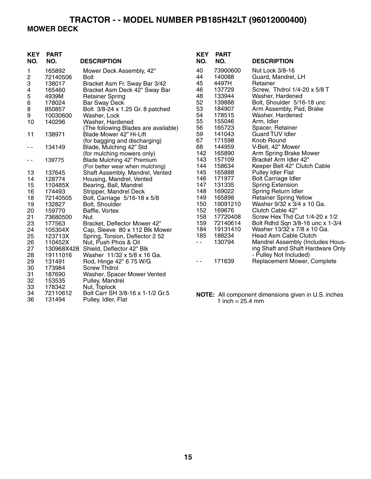# **TRACTOR - - MODEL NUMBER PB185H42LT (96012000400) MOWER DECK**

| <b>KEY</b><br>NO. | <b>PART</b><br>NO. | <b>DESCRIPTION</b>                   | <b>KEY</b><br>NO. | <b>PART</b><br>NO. | <b>DESCRIPTION</b>                                         |
|-------------------|--------------------|--------------------------------------|-------------------|--------------------|------------------------------------------------------------|
| 1                 | 165892             | Mower Deck Assembly, 42"             | 40                | 73900600           | Nut Lock 3/8-16                                            |
| $\sqrt{2}$        | 72140506           | <b>Bolt</b>                          | 44                | 140088             | Guard, Mandrel, LH                                         |
| 3                 | 138017             | Bracket Asm Fr. Sway Bar 3/42        | 45                | 4497H              | Retainer                                                   |
| 4                 | 165460             | Bracket Asm Deck 42" Sway Bar        | 46                | 137729             | Screw, Thdrol 1/4-20 x 5/8 T                               |
| 5                 | 4939M              | <b>Retainer Spring</b>               | 48                | 133944             | Washer, Hardened                                           |
| 6                 | 178024             | <b>Bar Sway Deck</b>                 | 52                | 139888             | Bolt, Shoulder 5/16-18 unc                                 |
| $\,8\,$           | 850857             | Bolt 3/8-24 x 1.25 Gr. 8 patched     | 53                | 184907             | Arm Assembly, Pad, Brake                                   |
| 9                 | 10030600           | Washer, Lock                         | 54                | 178515             | Washer, Hardened                                           |
| 10                | 140296             | Washer, Hardened                     | 55                | 155046             | Arm, Idler                                                 |
|                   |                    | (The following Blades are available) | 56                | 165723             | Spacer, Retainer                                           |
| 11                | 138971             | Blade Mower 42" Hi-Lift              | 59                | 141043             | <b>Guard TUV Idler</b>                                     |
|                   |                    | (for bagging and discharging)        | 67                | 171598             | Knob Round                                                 |
| - -               | 134149             | Blade, Mulching 42" Std              | 68                | 144959             | V-Belt, 42" Mower                                          |
|                   |                    | (for mulching mowers only)           | 142               | 165890             | Arm Spring Brake Mower                                     |
| $ -$              | 139775             | Blade Mulching 42" Premium           | 143               | 157109             | Bracket Arm Idler 42"                                      |
|                   |                    | (For better wear when mulching)      | 144               | 158634             | Keeper Belt 42" Clutch Cable                               |
| 13                | 137645             | Shaft Assembly, Mandrel, Vented      | 145               | 165888             | <b>Pulley Idler Flat</b>                                   |
| 14                | 128774             | Housing, Mandrel, Vented             | 146               | 171977             | <b>Bolt Carriage Idler</b>                                 |
| 15                | 110485X            | Bearing, Ball, Mandrel               | 147               | 131335             | <b>Spring Extension</b>                                    |
| 16                | 174493             | Stripper, Mandrel Deck               | 148               | 169022             | Spring Return Idler                                        |
| 18                | 72140505           | Bolt, Carriage 5/16-18 x 5/8         | 149               | 165898             | <b>Retainer Spring Yellow</b>                              |
| 19                | 132827             | Bolt, Shoulder                       | 150               | 19091210           | Washer 9/32 x 3/4 x 10 Ga.                                 |
| 20                | 159770             | Baffle, Vortex                       | 152               | 169676             | Clutch Cable 42"                                           |
| 21                | 73680500           | Nut                                  | 158               | 17720408           | Screw Hex Thd Cut 1/4-20 x 1/2                             |
| 23                | 177563             | Bracket, Deflector Mower 42"         | 159               | 72140614           | Bolt Rdhd Sqn 3/8-16 unc x 1-3/4                           |
| 24                | 105304X            | Cap, Sleeve 80 x 112 Blk Mower       | 184               | 19131410           | Washer 13/32 x 7/8 x 10 Ga.                                |
| 25                | 123713X            | Spring, Torsion, Deflector 2 52      | 185               | 188234             | Head Asm Cable Clutch                                      |
| 26                | 110452X            | Nut, Push Phos & Oil                 | - -               | 130794             | Mandrel Assembly (Includes Hous-                           |
| 27                |                    | 130968X428 Shield, Deflector 42" Blk |                   |                    | ing Shaft and Shaft Hardware Only                          |
| 28                | 19111016           | Washer 11/32 x 5/8 x 16 Ga.          |                   |                    | - Pulley Not Included)                                     |
| 29                | 131491             | Rod, Hinge 42" 6 75 W/G              | $\sim$ $\sim$     | 171639             | Replacement Mower, Complete                                |
| 30                | 173984             | <b>Screw Thdrol</b>                  |                   |                    |                                                            |
| 31                | 187690             | Washer, Spacer Mower Vented          |                   |                    |                                                            |
| 32                | 153535             | Pulley, Mandrel                      |                   |                    |                                                            |
| 33                | 178342             | Nut, Toplock                         |                   |                    |                                                            |
| 34                | 72110612           | Bolt Carr SH 3/8-16 x 1-1/2 Gr.5     |                   |                    | <b>NOTE:</b> All component dimensions given in U.S. inches |

36 131494 Pulley, Idler, Flat

1 inch = 25.4 mm